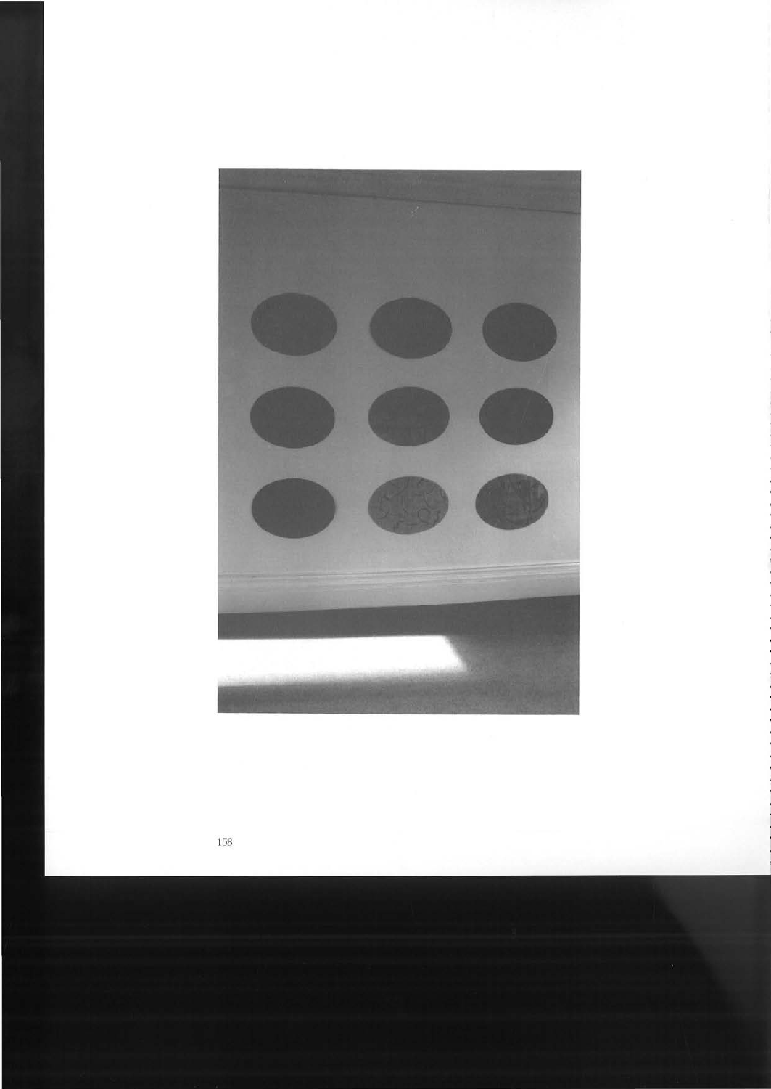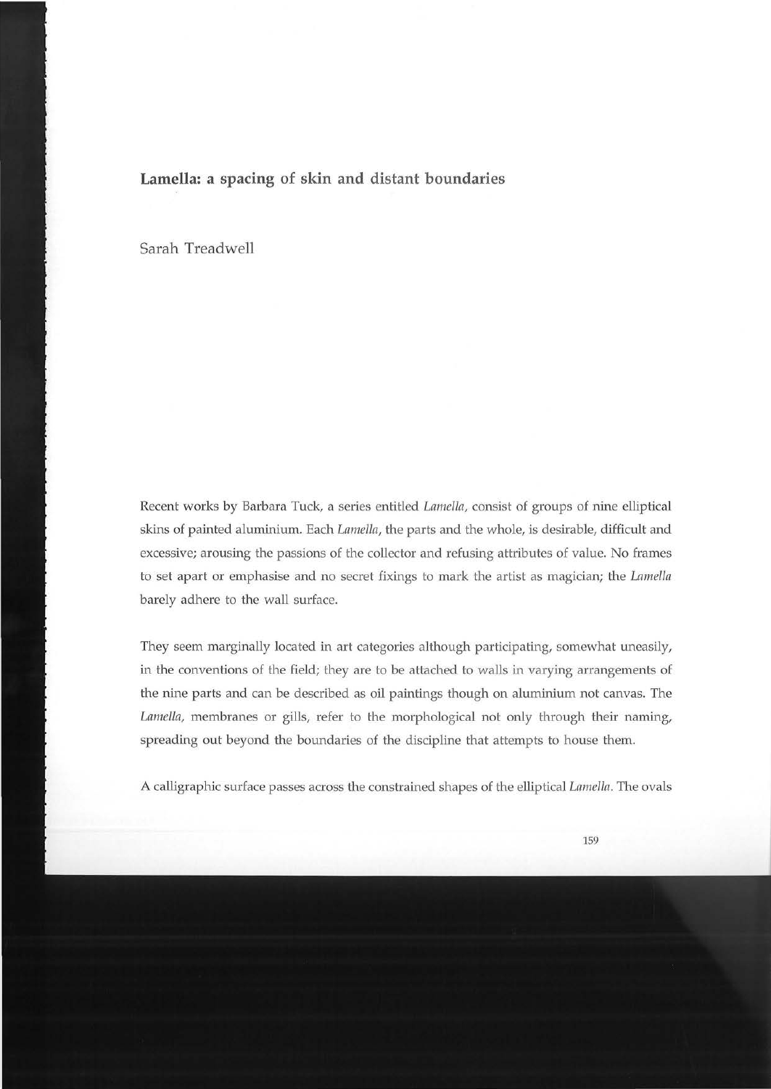## **Lamella: a spacing of skin and distant boundaries**

## Sarah Treadwell

Recent works by Barbara Tuck, a series entitled *Lame/la,* consist of groups of nine elliptical skins of painted aluminium. Each *Lamella,* the parts and the whole, is desirable, difficult and excessive; arousing the passions of the collector and refusing attributes of value. No frames to set apart or emphasise and no secret fixings to mark the artist as magician; the *Lamella*  barely adhere to the wall surface.

They seem marginally located in art categories although participating, somewhat uneasily, in the conventions of the field; they are to be attached to walls in varying arrangements of the nine parts and can be described as oil paintings though on aluminium not canvas. The *Lame/la,* membranes or gills, refer to the morphological not only through their naming, spreading out beyond the boundaries of the discipline that attempts to house them.

A calligraphic surface passes across the constrained shapes of the elliptical *Lamella.* The ovals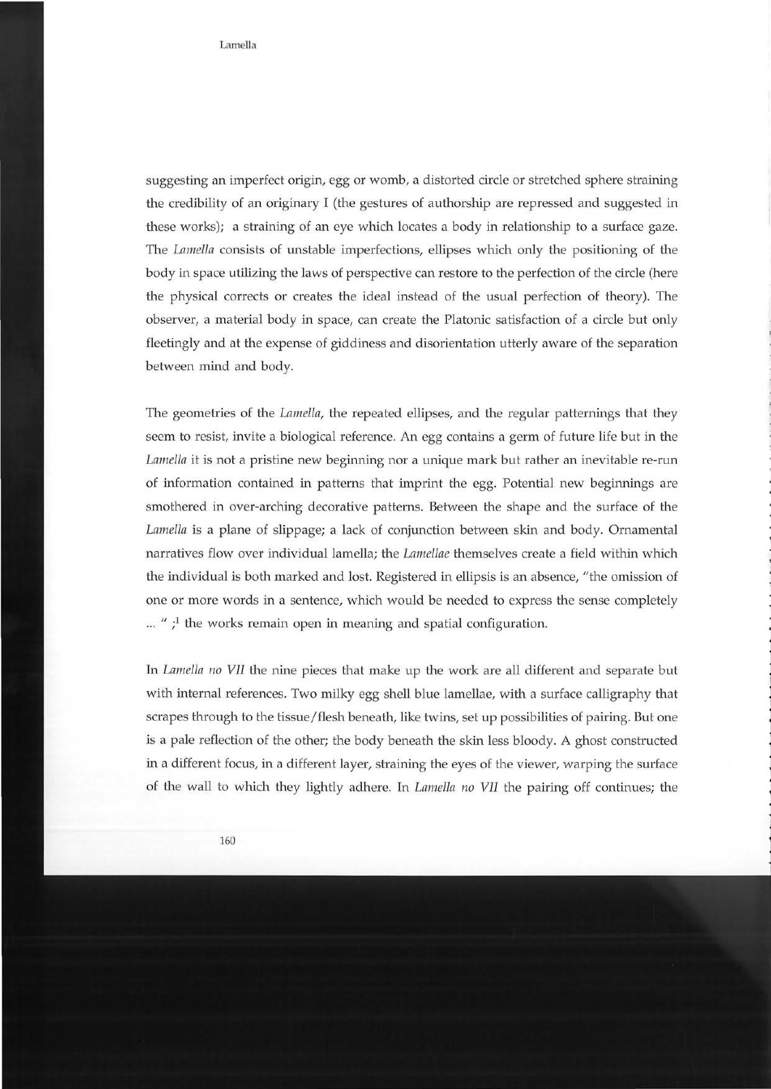suggesting an imperfect origin, egg or womb, a distorted circle or stretched sphere straining the credibility of an originary I (the gestures of authorship are repressed and suggested in these works); a straining of an eye which locates a body in relationship to a surface gaze. The *Lamella* consists of unstable imperfections, ellipses which only the positioning of the body in space utilizing the laws of perspective can restore to the perfection of the circle (here the physical corrects or creates the ideal instead of the usual perfection of theory). The observer, a material body in space, can create the Platonic satisfaction of a circle but only fleetingly and at the expense of giddiness and disorientation utterly aware of the separation between mind and body.

The geometries of the *Lamella,* the repeated ellipses, and the regular patternings that they seem to resist, invite a biological reference. An egg contains a germ of future life but in the *Lamella* it is not a pristine new beginning nor a unique mark but rather an inevitable re-run of information contained in patterns that imprint the egg. Potential new beginnings are smothered in over-arching decorative patterns. Between the shape and the surface of the *Lamella* is a plane of slippage; a lack of conjunction between skin and body. Ornamental narratives flow over individual lamella; the *Lamellae* themselves create a field within which the individual is both marked and lost. Registered in ellipsis is an absence, "the omission of one or more words in a sentence, which would be needed to express the sense completely  $\ldots$  " ;<sup>1</sup> the works remain open in meaning and spatial configuration.

In *Lamella no VII* the nine pieces that make up the work are all different and separate but with internal references. Two milky egg shell blue lamellae, with a surface calligraphy that scrapes through to the tissue/ flesh beneath, like twins, set up possibilities of pairing. But one is a pale reflection of the other; the body beneath the skin less bloody. A ghost constructed in a different focus, in a different layer, straining the eyes of the viewer, warping the surface of the wall to which they lightly adhere. In *Lamella no VII* the pairing off continues; the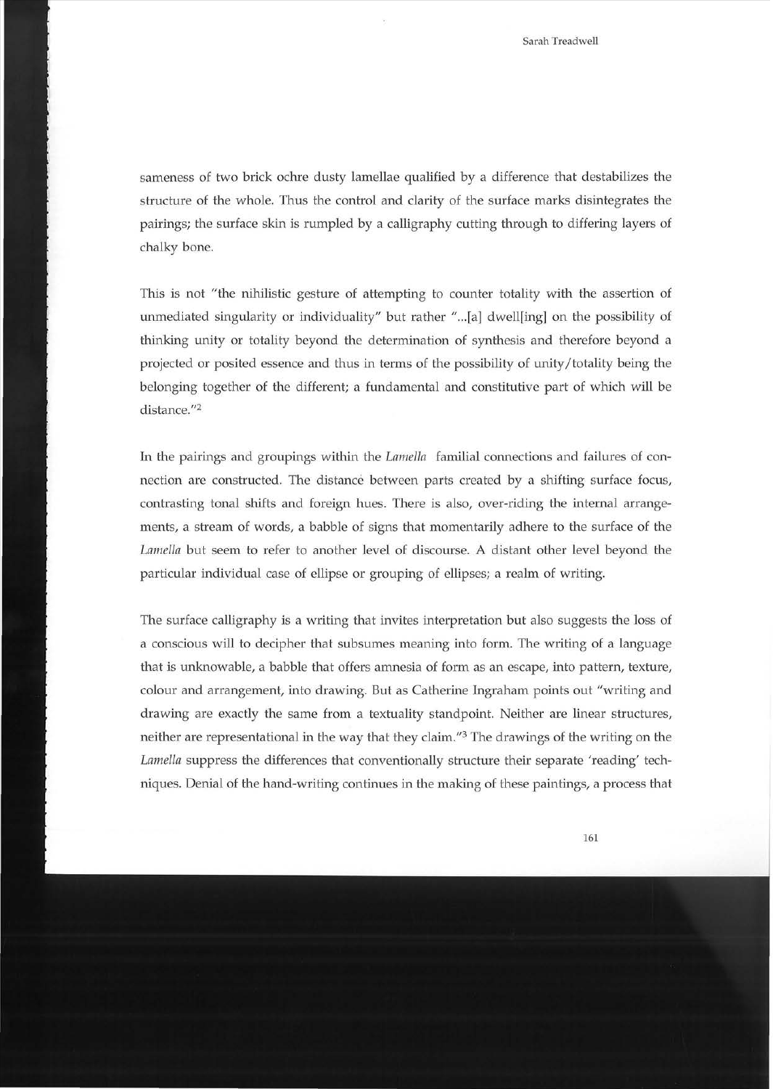Sarah Treadwell

sameness of two brick ochre dusty lamellae qualified by a difference that destabilizes the structure of the whole. Thus the control and clarity of the surface marks disintegrates the pairings; the surface skin is rumpled by a calligraphy cutting through to differing layers of chalky bone.

This is not "the nihilistic gesture of attempting to counter totality with the assertion of unmediated singularity or individuality" but rather " ... [a] dwell[ing] on the possibility of thinking unity or totality beyond the determination of synthesis and therefore beyond a projected or posited essence and thus in terms of the possibility of unity /totality being the belonging together of the different; a fundamental and constitutive part of which will be distance."<sup>2</sup>

In the pairings and groupings within the *Lamella* familial connections and failures of connection are constructed. The distance between parts created by a shifting surface focus, contrasting tonal shifts and foreign hues. There is also, over-riding the internal arrangements, a stream of words, a babble of signs that momentarily adhere to the surface of the *Lamella* but seem to refer to another level of discourse. A distant other level beyond the particular individual case of ellipse or grouping of ellipses; a realm of writing.

The surface calligraphy is a writing that invites interpretation but also suggests the loss of a conscious will to decipher that subsumes meaning into form. The writing of a language that is unknowable, a babble that offers amnesia of form as an escape, into pattern, texture, colour and arrangement, into drawing. But as Catherine Ingraham points out "writing and drawing are exactly the same from a textuality standpoint. Neither are linear structures, neither are representational in the way that they claim."3 The drawings of the writing on the *Lamella* suppress the differences that conventionally structure their separate 'reading' techniques. Denial of the hand-writing continues in the making of these paintings, a process that

161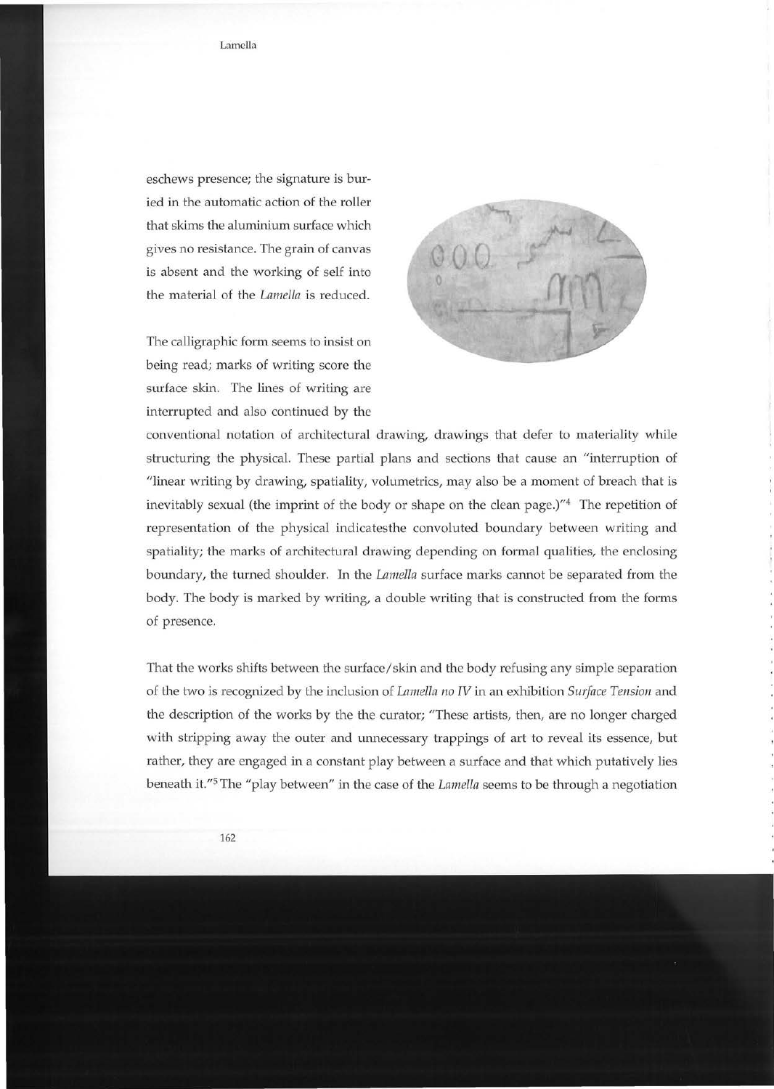eschews presence; the signature is buried in the automatic action of the roller that skims the aluminium surface which gives no resistance. The grain of canvas is absent and the working of self into the material of the *Lamella* is reduced.

The calligraphic form seems to insist on being read; marks of writing score the surface skin. The lines of writing are interrupted and also continued by the



conventional notation of architectural drawing, drawings that defer to materiality while structuring the physical. These partial plans and sections that cause an "interruption of "linear writing by drawing, spatiality, volumetrics, may also be a moment of breach that is inevitably sexual (the imprint of the body or shape on the clean page.)<sup>"4</sup> The repetition of representation of the physical indicatesthe convoluted boundary between writing and spatiality; the marks of architectural drawing depending on formal qualities, the enclosing boundary, the turned shoulder. In the *Lamella* surface marks cannot be separated from the body. The body is marked by writing, a double writing that is constructed from the forms of presence.

That the works shifts between the surface/skin and the body refusing any simple separation of the two is recognized by the inclusion of *Lamella no IV* in an exhibition *Surface Tension* and the description of the works by the the curator; "These artists, then, are no longer charged with stripping away the outer and unnecessary trappings of art to reveal its essence, but rather, they are engaged in a constant play between a surface and that which putatively lies beneath it."5 The "play between" in the case of the *Lamella* seems to be through a negotiation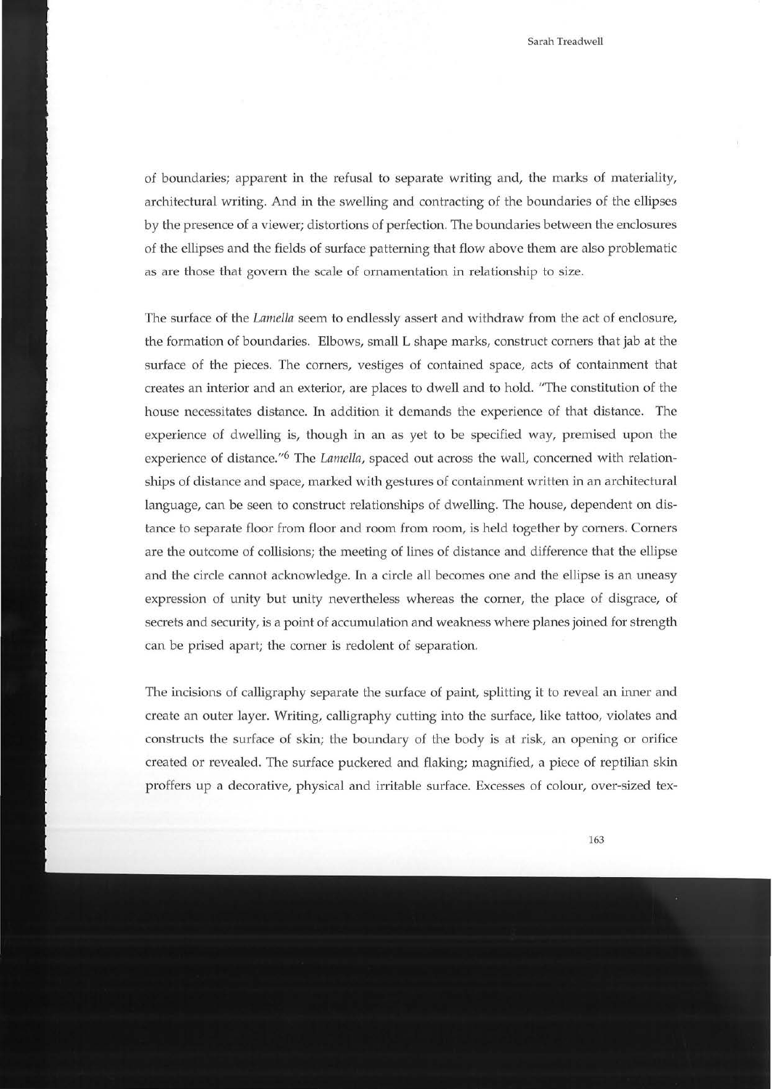of boundaries; apparent in the refusal to separate writing and, the marks of materiality, architectural writing. And in the swelling and contracting of the boundaries of the ellipses by the presence of a viewer; distortions of perfection. The boundaries between the enclosures of the ellipses and the fields of surface patterning that flow above them are also problematic as are those that govern the scale of ornamentation in relationship to size.

The surface of the *Lamella* seem to endlessly assert and withdraw from the act of enclosure, the formation of boundaries. Elbows, small L shape marks, construct corners that jab at the surface of the pieces. The corners, vestiges of contained space, acts of containment that creates an interior and an exterior, are places to dwell and to hold. "The constitution of the house necessitates distance. In addition it demands the experience of that distance. The experience of dwelling is, though in an as yet to be specified way, premised upon the experience of distance."6 The *Lamella,* spaced out across the wall, concerned with relationships of distance and space, marked with gestures of containment written in an architectural language, can be seen to construct relationships of dwelling. The house, dependent on distance to separate floor from floor and room from room, is held together by corners. Corners are the outcome of collisions; the meeting of lines of distance and difference that the ellipse and the circle cannot acknowledge. In a circle all becomes one and the ellipse is an uneasy expression of unity but unity nevertheless whereas the corner, the place of disgrace, of secrets and security, is a point of accumulation and weakness where planes joined for strength can be prised apart; the corner is redolent of separation.

The incisions of calligraphy separate the surface of paint, splitting it to reveal an inner and create an outer layer. Writing, calligraphy cutting into the surface, like tattoo, violates and constructs the surface of skin; the boundary of the body is at risk, an opening or orifice created or revealed. The surface puckered and flaking; magnified, a piece of reptilian skin proffers up a decorative, physical and irritable surface. Excesses of colour, over-sized tex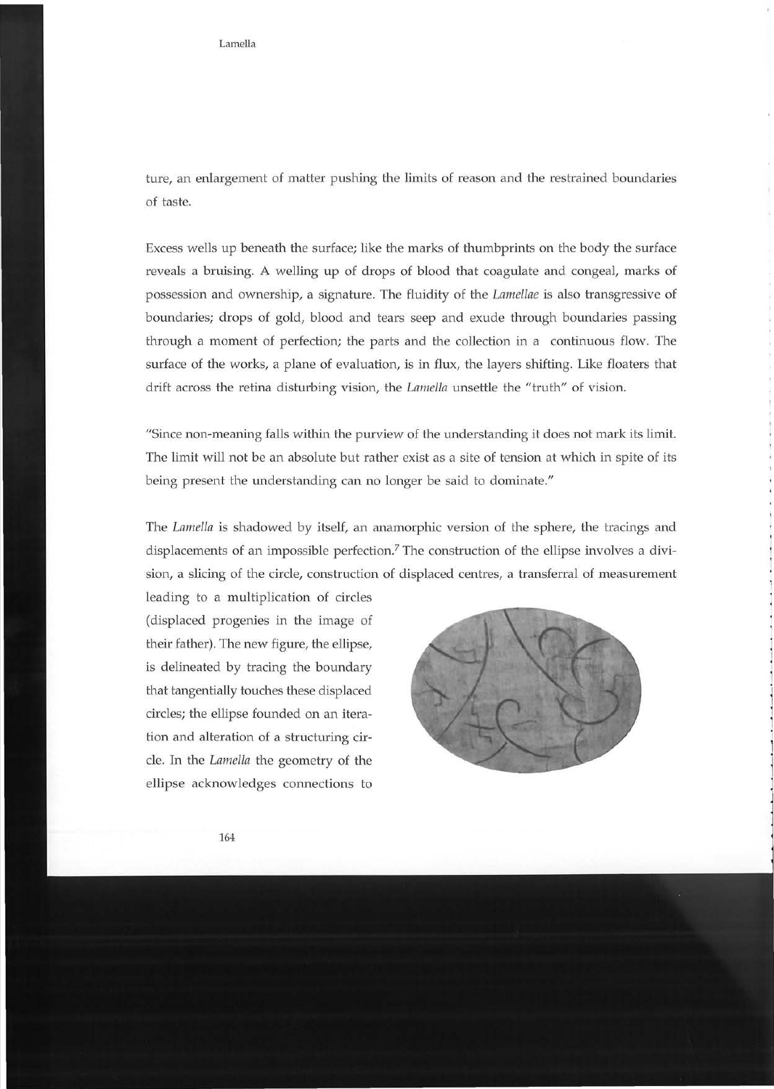ture, an enlargement of matter pushing the limits of reason and the restrained boundaries of taste.

Excess wells up beneath the surface; like the marks of thumbprints on the body the surface reveals a bruising. A welling up of drops of blood that coagulate and congeal, marks of possession and ownership, a signature. The fluidity of the *Lamellae* is also transgressive of boundaries; drops of gold, blood and tears seep and exude through boundaries passing through a moment of perfection; the parts and the collection in a continuous flow. The surface of the works, a plane of evaluation, is in flux, the layers shifting. Like floaters that drift across the retina disturbing vision, the *Lamella* unsettle the "truth" of vision.

"Since non-meaning falls within the purview of the understanding it does not mark its limit. The limit will not be an absolute but rather exist as a site of tension at which in spite of its being present the understanding can no longer be said to dominate."

The *Lamella* is shadowed by itself, an anamorphic version of the sphere, the tracings and displacements of an impossible perfection.7 The construction of the ellipse involves a division, a slicing of the circle, construction of displaced centres, a transferral of measurement

leading to a multiplication of circles (displaced progenies in the image of their father). The new figure, the ellipse, is delineated by tracing the boundary that tangentially touches these displaced circles; the ellipse founded on an iteration and alteration of a structuring circle. In the *Lamella* the geometry of the ellipse acknowledges connections to